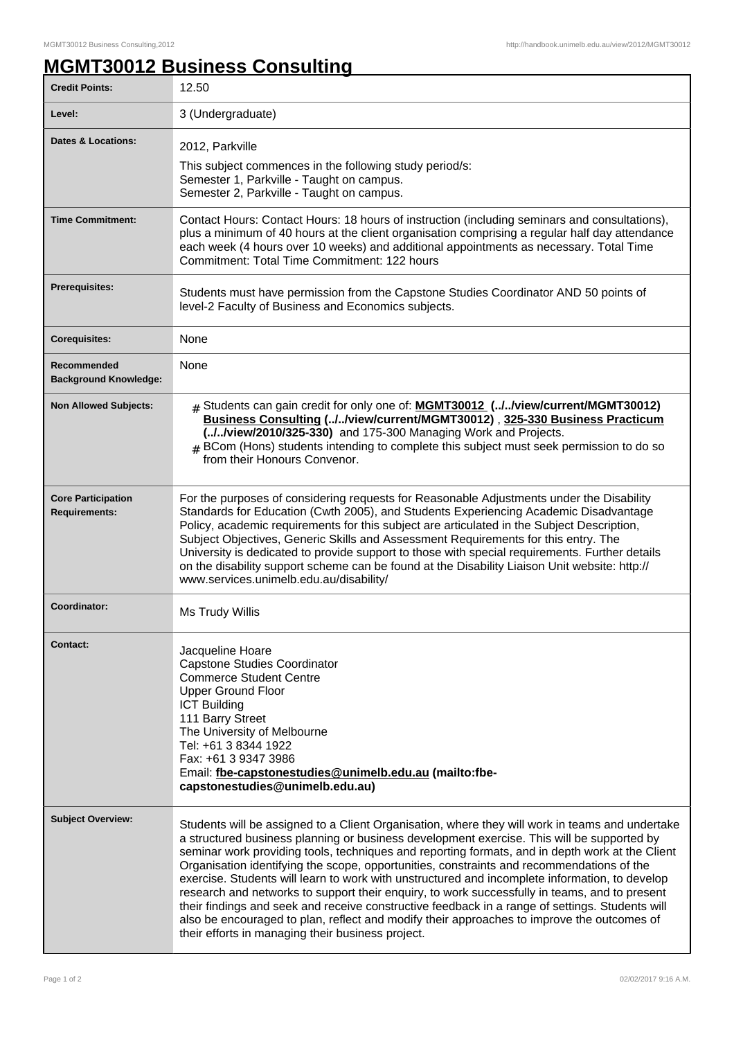## **MGMT30012 Business Consulting**

| <b>Credit Points:</b>                             | 12.50                                                                                                                                                                                                                                                                                                                                                                                                                                                                                                                                                                                                                                                                                                                                                                                                                                                  |
|---------------------------------------------------|--------------------------------------------------------------------------------------------------------------------------------------------------------------------------------------------------------------------------------------------------------------------------------------------------------------------------------------------------------------------------------------------------------------------------------------------------------------------------------------------------------------------------------------------------------------------------------------------------------------------------------------------------------------------------------------------------------------------------------------------------------------------------------------------------------------------------------------------------------|
| Level:                                            | 3 (Undergraduate)                                                                                                                                                                                                                                                                                                                                                                                                                                                                                                                                                                                                                                                                                                                                                                                                                                      |
| <b>Dates &amp; Locations:</b>                     | 2012, Parkville<br>This subject commences in the following study period/s:<br>Semester 1, Parkville - Taught on campus.<br>Semester 2, Parkville - Taught on campus.                                                                                                                                                                                                                                                                                                                                                                                                                                                                                                                                                                                                                                                                                   |
| <b>Time Commitment:</b>                           | Contact Hours: Contact Hours: 18 hours of instruction (including seminars and consultations),<br>plus a minimum of 40 hours at the client organisation comprising a regular half day attendance<br>each week (4 hours over 10 weeks) and additional appointments as necessary. Total Time<br>Commitment: Total Time Commitment: 122 hours                                                                                                                                                                                                                                                                                                                                                                                                                                                                                                              |
| <b>Prerequisites:</b>                             | Students must have permission from the Capstone Studies Coordinator AND 50 points of<br>level-2 Faculty of Business and Economics subjects.                                                                                                                                                                                                                                                                                                                                                                                                                                                                                                                                                                                                                                                                                                            |
| <b>Corequisites:</b>                              | None                                                                                                                                                                                                                                                                                                                                                                                                                                                                                                                                                                                                                                                                                                                                                                                                                                                   |
| Recommended<br><b>Background Knowledge:</b>       | <b>None</b>                                                                                                                                                                                                                                                                                                                                                                                                                                                                                                                                                                                                                                                                                                                                                                                                                                            |
| <b>Non Allowed Subjects:</b>                      | # Students can gain credit for only one of: MGMT30012 (.J.Jview/current/MGMT30012)<br>Business Consulting (//view/current/MGMT30012), 325-330 Business Practicum<br>(.J.Jview/2010/325-330) and 175-300 Managing Work and Projects.<br># BCom (Hons) students intending to complete this subject must seek permission to do so<br>from their Honours Convenor.                                                                                                                                                                                                                                                                                                                                                                                                                                                                                         |
| <b>Core Participation</b><br><b>Requirements:</b> | For the purposes of considering requests for Reasonable Adjustments under the Disability<br>Standards for Education (Cwth 2005), and Students Experiencing Academic Disadvantage<br>Policy, academic requirements for this subject are articulated in the Subject Description,<br>Subject Objectives, Generic Skills and Assessment Requirements for this entry. The<br>University is dedicated to provide support to those with special requirements. Further details<br>on the disability support scheme can be found at the Disability Liaison Unit website: http://<br>www.services.unimelb.edu.au/disability/                                                                                                                                                                                                                                     |
| Coordinator:                                      | Ms Trudy Willis                                                                                                                                                                                                                                                                                                                                                                                                                                                                                                                                                                                                                                                                                                                                                                                                                                        |
| Contact:                                          | Jacqueline Hoare<br><b>Capstone Studies Coordinator</b><br><b>Commerce Student Centre</b><br><b>Upper Ground Floor</b><br><b>ICT Building</b><br>111 Barry Street<br>The University of Melbourne<br>Tel: +61 3 8344 1922<br>Fax: +61 3 9347 3986<br>Email: fbe-capstonestudies@unimelb.edu.au (mailto:fbe-<br>capstonestudies@unimelb.edu.au)                                                                                                                                                                                                                                                                                                                                                                                                                                                                                                          |
| <b>Subject Overview:</b>                          | Students will be assigned to a Client Organisation, where they will work in teams and undertake<br>a structured business planning or business development exercise. This will be supported by<br>seminar work providing tools, techniques and reporting formats, and in depth work at the Client<br>Organisation identifying the scope, opportunities, constraints and recommendations of the<br>exercise. Students will learn to work with unstructured and incomplete information, to develop<br>research and networks to support their enquiry, to work successfully in teams, and to present<br>their findings and seek and receive constructive feedback in a range of settings. Students will<br>also be encouraged to plan, reflect and modify their approaches to improve the outcomes of<br>their efforts in managing their business project. |